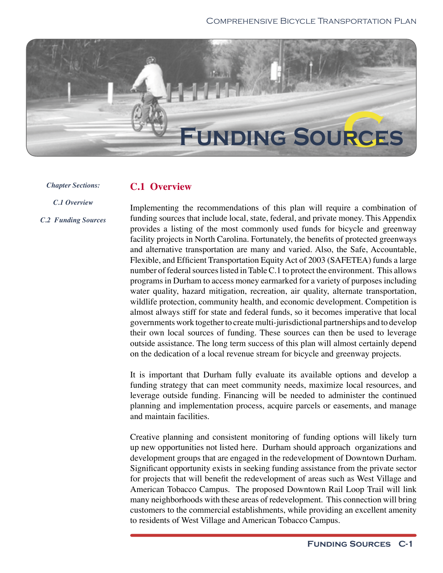

*Chapter Sections:*

### **C.1 Overview**

*C.1 Overview*

*C.2 Funding Sources* 

Implementing the recommendations of this plan will require a combination of funding sources that include local, state, federal, and private money. This Appendix provides a listing of the most commonly used funds for bicycle and greenway facility projects in North Carolina. Fortunately, the benefits of protected greenways and alternative transportation are many and varied. Also, the Safe, Accountable, Flexible, and Efficient Transportation Equity Act of 2003 (SAFETEA) funds a large number of federal sources listed in Table C.1 to protect the environment. This allows programs in Durham to access money earmarked for a variety of purposes including water quality, hazard mitigation, recreation, air quality, alternate transportation, wildlife protection, community health, and economic development. Competition is almost always stiff for state and federal funds, so it becomes imperative that local governments work together to create multi-jurisdictional partnerships and to develop their own local sources of funding. These sources can then be used to leverage outside assistance. The long term success of this plan will almost certainly depend on the dedication of a local revenue stream for bicycle and greenway projects.

It is important that Durham fully evaluate its available options and develop a funding strategy that can meet community needs, maximize local resources, and leverage outside funding. Financing will be needed to administer the continued planning and implementation process, acquire parcels or easements, and manage and maintain facilities.

Creative planning and consistent monitoring of funding options will likely turn up new opportunities not listed here. Durham should approach organizations and development groups that are engaged in the redevelopment of Downtown Durham. Significant opportunity exists in seeking funding assistance from the private sector for projects that will benefit the redevelopment of areas such as West Village and American Tobacco Campus. The proposed Downtown Rail Loop Trail will link many neighborhoods with these areas of redevelopment. This connection will bring customers to the commercial establishments, while providing an excellent amenity to residents of West Village and American Tobacco Campus.